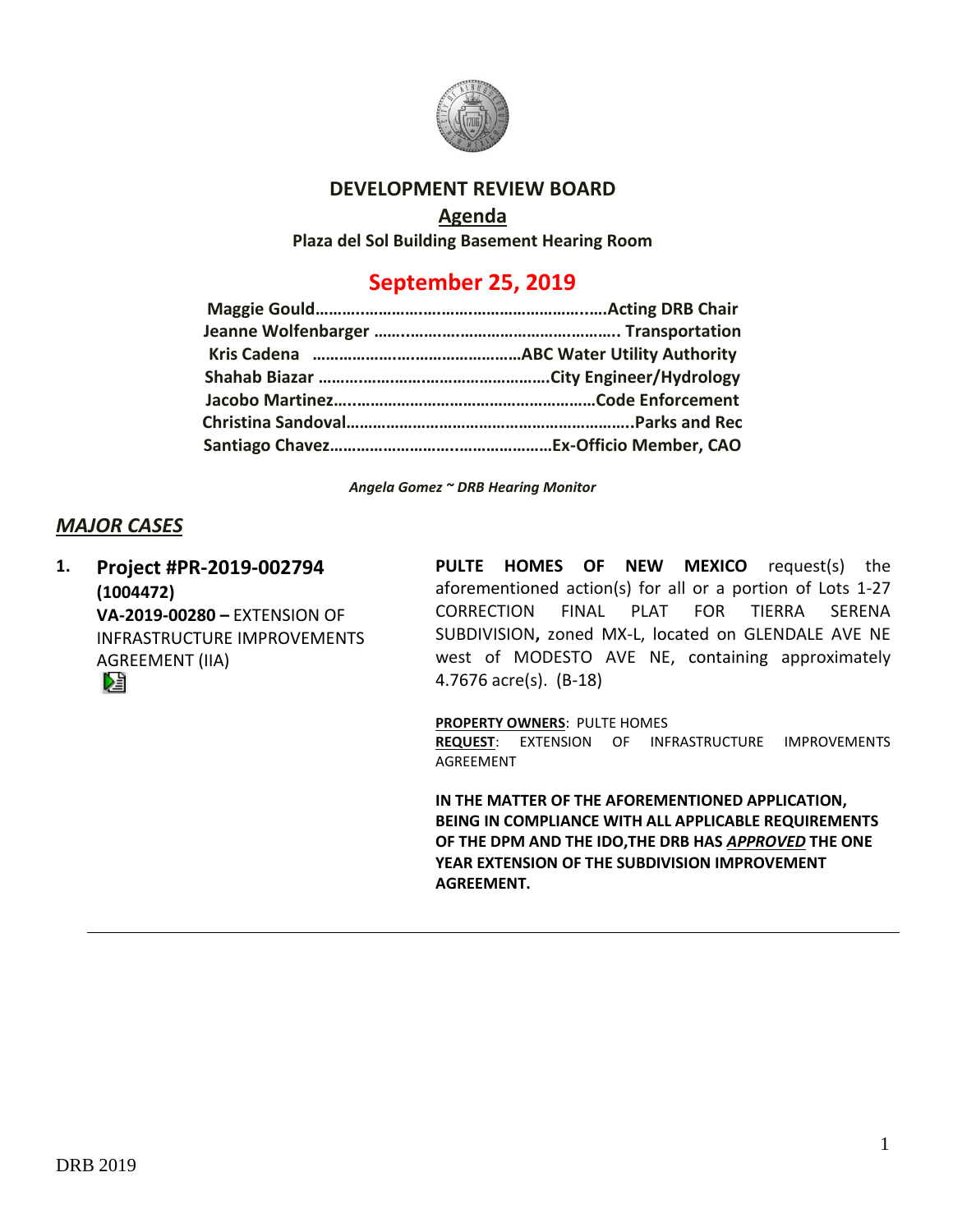

## **DEVELOPMENT REVIEW BOARD**

## **Agenda**

**Plaza del Sol Building Basement Hearing Room**

# **September 25, 2019**

*Angela Gomez ~ DRB Hearing Monitor*

# *MAJOR CASES*

**1. Project #PR-2019-002794 (1004472) VA-2019-00280 –** EXTENSION OF INFRASTRUCTURE IMPROVEMENTS AGREEMENT (IIA)

**PULTE HOMES OF NEW MEXICO** request(s) the aforementioned action(s) for all or a portion of Lots 1-27 CORRECTION FINAL PLAT FOR TIERRA SERENA SUBDIVISION**,** zoned MX-L, located on GLENDALE AVE NE west of MODESTO AVE NE, containing approximately 4.7676 acre(s). (B-18)

**PROPERTY OWNERS**: PULTE HOMES **REQUEST**: EXTENSION OF INFRASTRUCTURE IMPROVEMENTS AGREEMENT

**IN THE MATTER OF THE AFOREMENTIONED APPLICATION, BEING IN COMPLIANCE WITH ALL APPLICABLE REQUIREMENTS OF THE DPM AND THE IDO,THE DRB HAS** *APPROVED* **THE ONE YEAR EXTENSION OF THE SUBDIVISION IMPROVEMENT AGREEMENT.**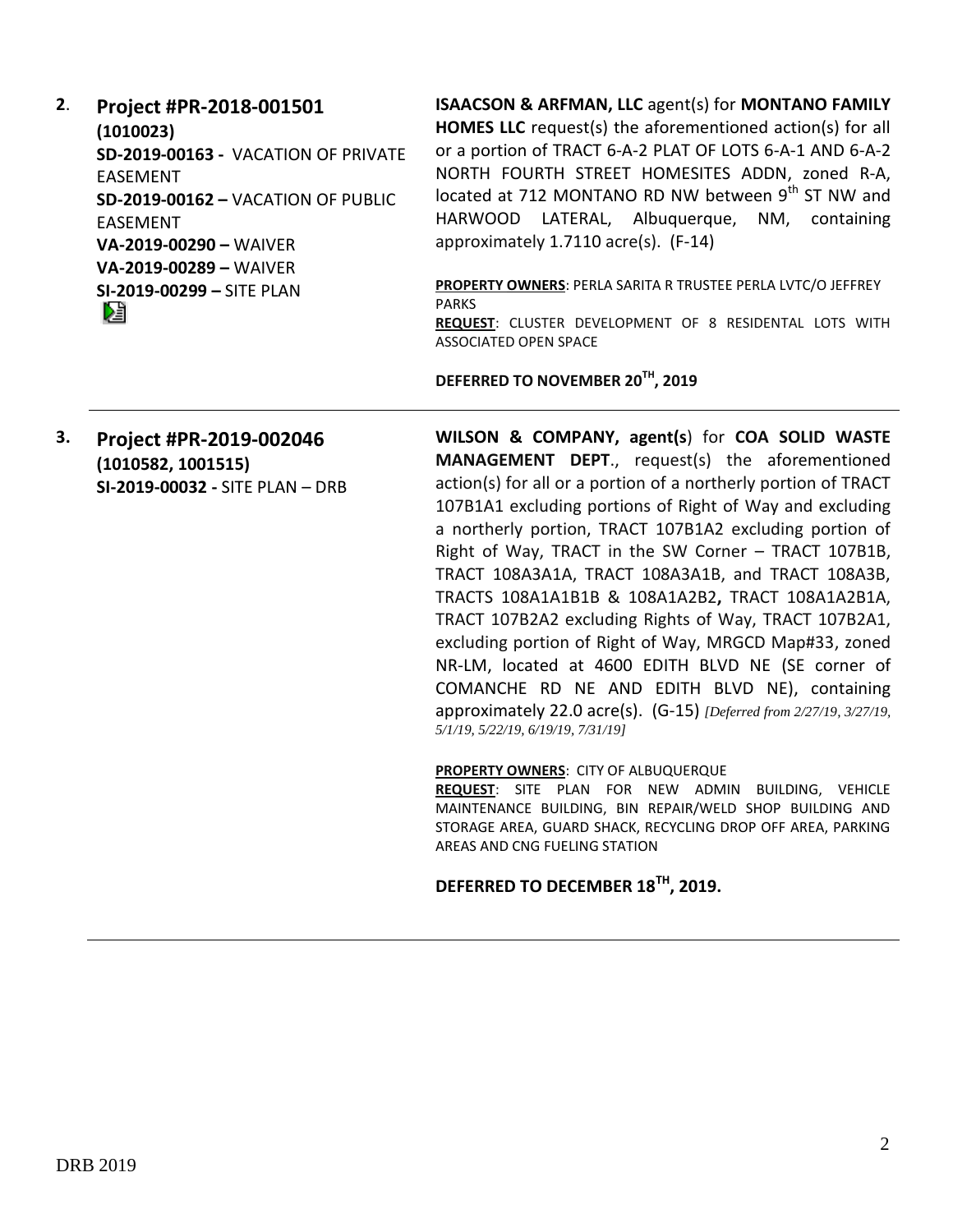**2**. **Project #PR-2018-001501 (1010023) SD-2019-00163 -** VACATION OF PRIVATE EASEMENT **SD-2019-00162 –** VACATION OF PUBLIC EASEMENT **VA-2019-00290 –** WAIVER **VA-2019-00289 –** WAIVER **SI-2019-00299 –** SITE PLAN

**ISAACSON & ARFMAN, LLC** agent(s) for **MONTANO FAMILY HOMES LLC** request(s) the aforementioned action(s) for all or a portion of TRACT 6-A-2 PLAT OF LOTS 6-A-1 AND 6-A-2 NORTH FOURTH STREET HOMESITES ADDN, zoned R-A, located at 712 MONTANO RD NW between  $9<sup>th</sup>$  ST NW and HARWOOD LATERAL, Albuquerque, NM, containing approximately 1.7110 acre(s). (F-14)

**PROPERTY OWNERS**: PERLA SARITA R TRUSTEE PERLA LVTC/O JEFFREY PARKS **REQUEST**: CLUSTER DEVELOPMENT OF 8 RESIDENTAL LOTS WITH ASSOCIATED OPEN SPACE

**DEFERRED TO NOVEMBER 20TH, 2019**

**3. Project #PR-2019-002046 (1010582, 1001515) SI-2019-00032 -** SITE PLAN – DRB **WILSON & COMPANY, agent(s**) for **COA SOLID WASTE MANAGEMENT DEPT**., request(s) the aforementioned action(s) for all or a portion of a northerly portion of TRACT 107B1A1 excluding portions of Right of Way and excluding a northerly portion, TRACT 107B1A2 excluding portion of Right of Way, TRACT in the SW Corner – TRACT 107B1B, TRACT 108A3A1A, TRACT 108A3A1B, and TRACT 108A3B, TRACTS 108A1A1B1B & 108A1A2B2**,** TRACT 108A1A2B1A, TRACT 107B2A2 excluding Rights of Way, TRACT 107B2A1, excluding portion of Right of Way, MRGCD Map#33, zoned NR-LM, located at 4600 EDITH BLVD NE (SE corner of COMANCHE RD NE AND EDITH BLVD NE), containing approximately 22.0 acre(s). (G-15) *[Deferred from 2/27/19, 3/27/19, 5/1/19, 5/22/19, 6/19/19, 7/31/19]*

**PROPERTY OWNERS**: CITY OF ALBUQUERQUE

**REQUEST**: SITE PLAN FOR NEW ADMIN BUILDING, VEHICLE MAINTENANCE BUILDING, BIN REPAIR/WELD SHOP BUILDING AND STORAGE AREA, GUARD SHACK, RECYCLING DROP OFF AREA, PARKING AREAS AND CNG FUELING STATION

**DEFERRED TO DECEMBER 18TH, 2019.**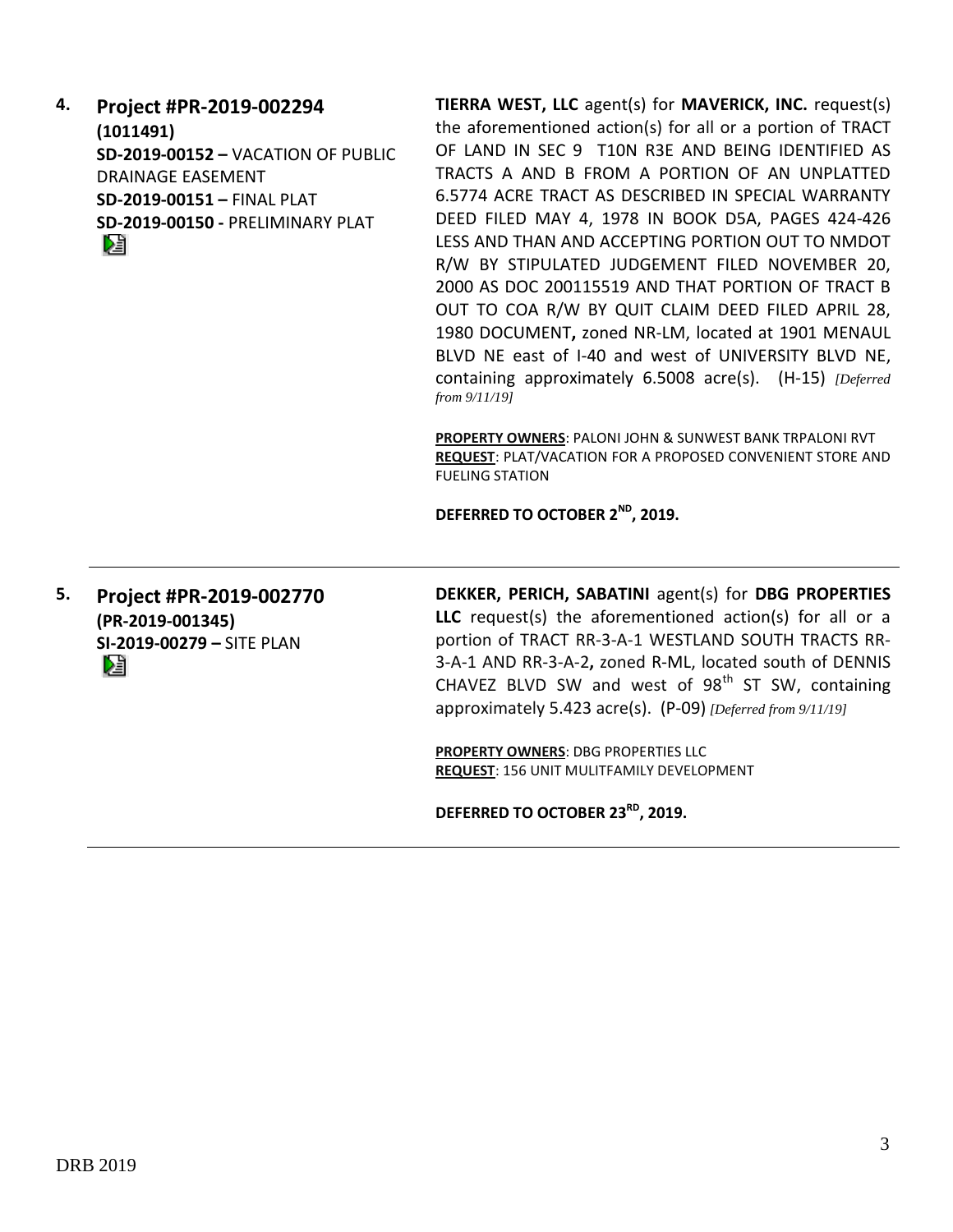**4. Project #PR-2019-002294 (1011491) SD-2019-00152 –** VACATION OF PUBLIC DRAINAGE EASEMENT **SD-2019-00151 –** FINAL PLAT **SD-2019-00150 -** PRELIMINARY PLAT Dă

**TIERRA WEST, LLC** agent(s) for **MAVERICK, INC.** request(s) the aforementioned action(s) for all or a portion of TRACT OF LAND IN SEC 9 T10N R3E AND BEING IDENTIFIED AS TRACTS A AND B FROM A PORTION OF AN UNPLATTED 6.5774 ACRE TRACT AS DESCRIBED IN SPECIAL WARRANTY DEED FILED MAY 4, 1978 IN BOOK D5A, PAGES 424-426 LESS AND THAN AND ACCEPTING PORTION OUT TO NMDOT R/W BY STIPULATED JUDGEMENT FILED NOVEMBER 20, 2000 AS DOC 200115519 AND THAT PORTION OF TRACT B OUT TO COA R/W BY QUIT CLAIM DEED FILED APRIL 28, 1980 DOCUMENT**,** zoned NR-LM, located at 1901 MENAUL BLVD NE east of I-40 and west of UNIVERSITY BLVD NE, containing approximately 6.5008 acre(s). (H-15) *[Deferred from 9/11/19]*

**PROPERTY OWNERS**: PALONI JOHN & SUNWEST BANK TRPALONI RVT **REQUEST**: PLAT/VACATION FOR A PROPOSED CONVENIENT STORE AND FUELING STATION

**DEFERRED TO OCTOBER 2ND, 2019.**

**5. Project #PR-2019-002770 (PR-2019-001345) SI-2019-00279 –** SITE PLAN Dâ

**DEKKER, PERICH, SABATINI** agent(s) for **DBG PROPERTIES LLC** request(s) the aforementioned action(s) for all or a portion of TRACT RR-3-A-1 WESTLAND SOUTH TRACTS RR-3-A-1 AND RR-3-A-2**,** zoned R-ML, located south of DENNIS CHAVEZ BLVD SW and west of  $98<sup>th</sup>$  ST SW, containing approximately 5.423 acre(s). (P-09) *[Deferred from 9/11/19]*

**PROPERTY OWNERS**: DBG PROPERTIES LLC **REQUEST**: 156 UNIT MULITFAMILY DEVELOPMENT

**DEFERRED TO OCTOBER 23RD, 2019.**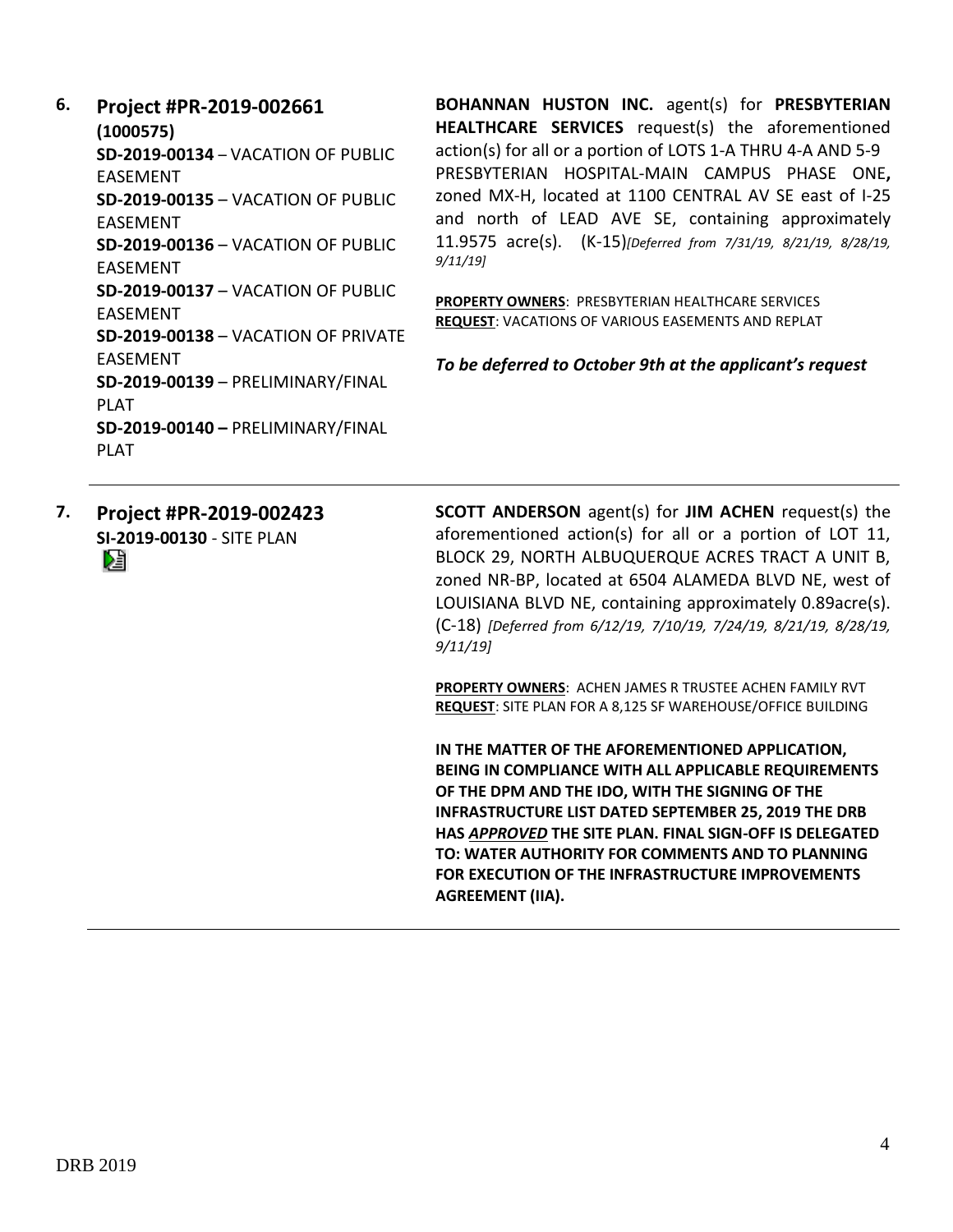**6. Project #PR-2019-002661 (1000575) SD-2019-00134** – VACATION OF PUBLIC EASEMENT **SD-2019-00135** – VACATION OF PUBLIC EASEMENT **SD-2019-00136** – VACATION OF PUBLIC EASEMENT **SD-2019-00137** – VACATION OF PUBLIC EASEMENT **SD-2019-00138** – VACATION OF PRIVATE EASEMENT **SD-2019-00139** – PRELIMINARY/FINAL PLAT **SD-2019-00140 –** PRELIMINARY/FINAL PLAT

**BOHANNAN HUSTON INC.** agent(s) for **PRESBYTERIAN HEALTHCARE SERVICES** request(s) the aforementioned action(s) for all or a portion of LOTS 1-A THRU 4-A AND 5-9 PRESBYTERIAN HOSPITAL-MAIN CAMPUS PHASE ONE**,**  zoned MX-H, located at 1100 CENTRAL AV SE east of I-25 and north of LEAD AVE SE, containing approximately 11.9575 acre(s). (K-15)*[Deferred from 7/31/19, 8/21/19, 8/28/19, 9/11/19]*

**PROPERTY OWNERS**: PRESBYTERIAN HEALTHCARE SERVICES **REQUEST**: VACATIONS OF VARIOUS EASEMENTS AND REPLAT

*To be deferred to October 9th at the applicant's request*

**7. Project #PR-2019-002423 SI-2019-00130** - SITE PLAN Dă

**SCOTT ANDERSON** agent(s) for **JIM ACHEN** request(s) the aforementioned action(s) for all or a portion of LOT 11, BLOCK 29, NORTH ALBUQUERQUE ACRES TRACT A UNIT B, zoned NR-BP, located at 6504 ALAMEDA BLVD NE, west of LOUISIANA BLVD NE, containing approximately 0.89acre(s). (C-18) *[Deferred from 6/12/19, 7/10/19, 7/24/19, 8/21/19, 8/28/19, 9/11/19]*

**PROPERTY OWNERS**: ACHEN JAMES R TRUSTEE ACHEN FAMILY RVT **REQUEST**: SITE PLAN FOR A 8,125 SF WAREHOUSE/OFFICE BUILDING

**IN THE MATTER OF THE AFOREMENTIONED APPLICATION, BEING IN COMPLIANCE WITH ALL APPLICABLE REQUIREMENTS OF THE DPM AND THE IDO, WITH THE SIGNING OF THE INFRASTRUCTURE LIST DATED SEPTEMBER 25, 2019 THE DRB HAS** *APPROVED* **THE SITE PLAN. FINAL SIGN-OFF IS DELEGATED TO: WATER AUTHORITY FOR COMMENTS AND TO PLANNING FOR EXECUTION OF THE INFRASTRUCTURE IMPROVEMENTS AGREEMENT (IIA).**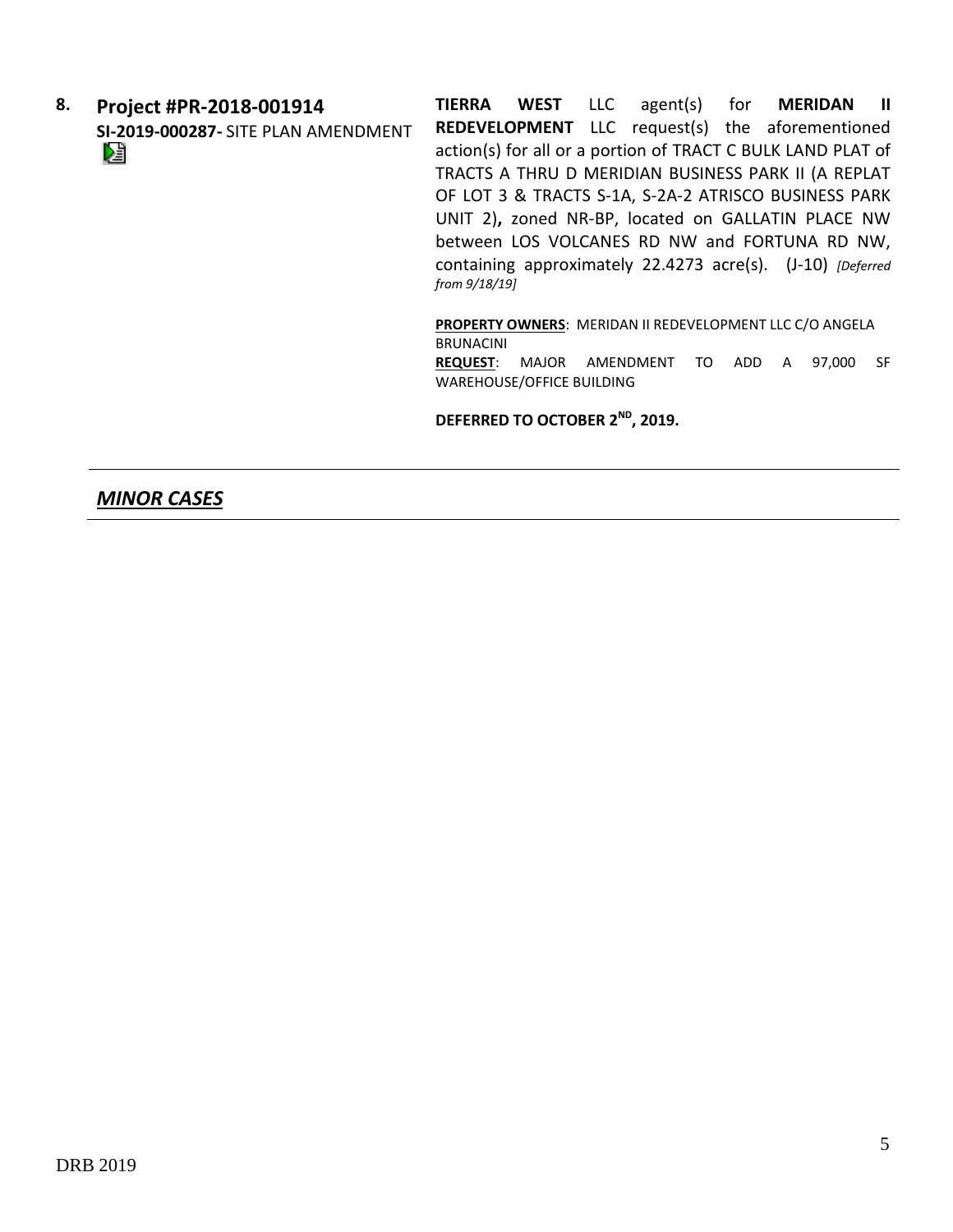**8. Project #PR-2018-001914 SI-2019-000287-** SITE PLAN AMENDMENT

**TIERRA WEST** LLC agent(s) for **MERIDAN II REDEVELOPMENT** LLC request(s) the aforementioned action(s) for all or a portion of TRACT C BULK LAND PLAT of TRACTS A THRU D MERIDIAN BUSINESS PARK II (A REPLAT OF LOT 3 & TRACTS S-1A, S-2A-2 ATRISCO BUSINESS PARK UNIT 2)**,** zoned NR-BP, located on GALLATIN PLACE NW between LOS VOLCANES RD NW and FORTUNA RD NW, containing approximately 22.4273 acre(s). (J-10) *[Deferred from 9/18/19]*

**PROPERTY OWNERS**: MERIDAN II REDEVELOPMENT LLC C/O ANGELA BRUNACINI **REQUEST**: MAJOR AMENDMENT TO ADD A 97,000 SF WAREHOUSE/OFFICE BUILDING

**DEFERRED TO OCTOBER 2ND, 2019.**

#### *MINOR CASES*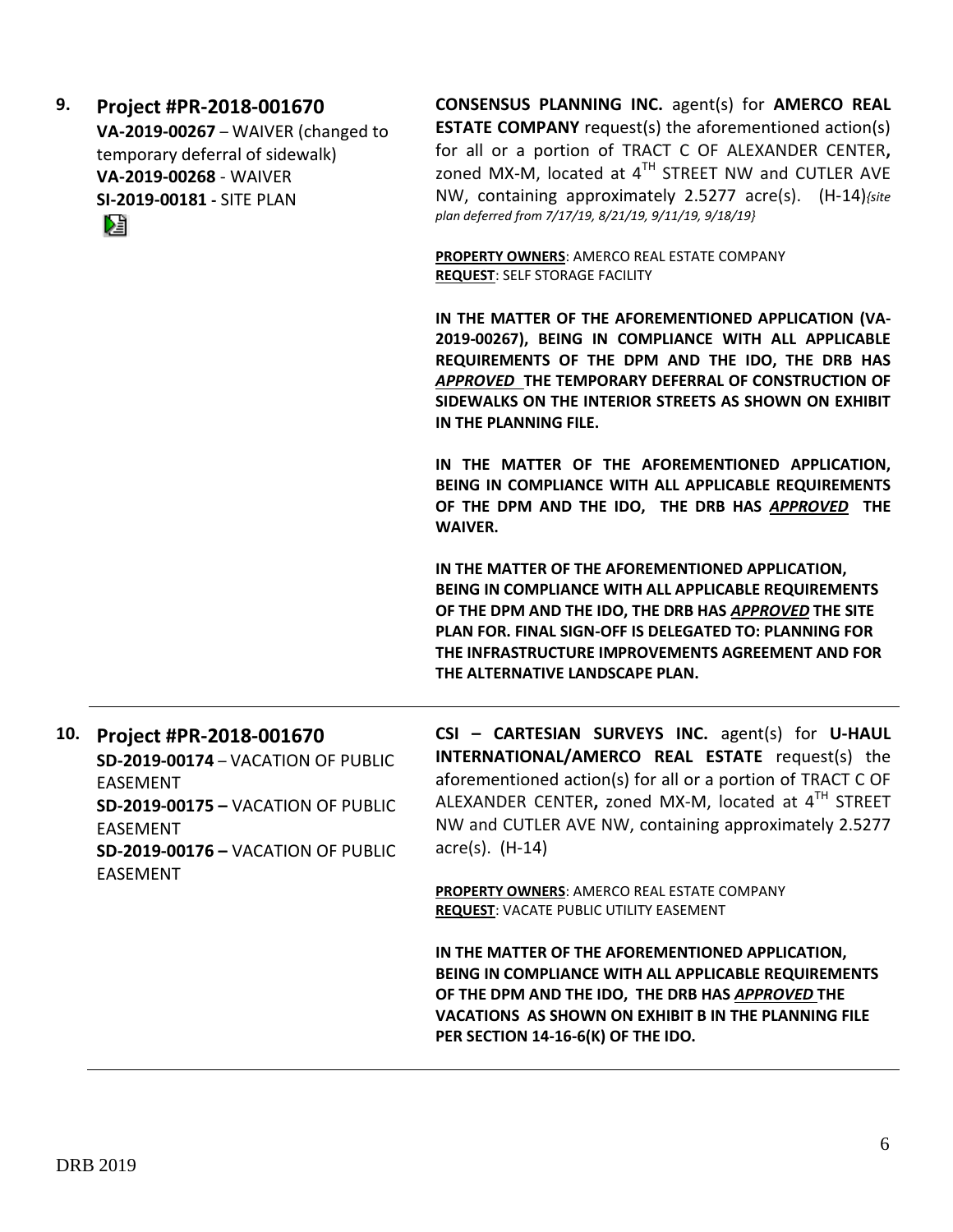**9. Project #PR-2018-001670 VA-2019-00267** – WAIVER (changed to temporary deferral of sidewalk) **VA-2019-00268** - WAIVER **SI-2019-00181 -** SITE PLAN

Dà

**CONSENSUS PLANNING INC.** agent(s) for **AMERCO REAL ESTATE COMPANY** request(s) the aforementioned action(s) for all or a portion of TRACT C OF ALEXANDER CENTER**,**  zoned MX-M, located at  $4^{TH}$  STREET NW and CUTLER AVE NW, containing approximately 2.5277 acre(s). (H-14)*{site plan deferred from 7/17/19, 8/21/19, 9/11/19, 9/18/19}*

**PROPERTY OWNERS**: AMERCO REAL ESTATE COMPANY **REQUEST**: SELF STORAGE FACILITY

**IN THE MATTER OF THE AFOREMENTIONED APPLICATION (VA-2019-00267), BEING IN COMPLIANCE WITH ALL APPLICABLE REQUIREMENTS OF THE DPM AND THE IDO, THE DRB HAS**  *APPROVED* **THE TEMPORARY DEFERRAL OF CONSTRUCTION OF SIDEWALKS ON THE INTERIOR STREETS AS SHOWN ON EXHIBIT IN THE PLANNING FILE.** 

**IN THE MATTER OF THE AFOREMENTIONED APPLICATION, BEING IN COMPLIANCE WITH ALL APPLICABLE REQUIREMENTS OF THE DPM AND THE IDO, THE DRB HAS** *APPROVED* **THE WAIVER.** 

**IN THE MATTER OF THE AFOREMENTIONED APPLICATION, BEING IN COMPLIANCE WITH ALL APPLICABLE REQUIREMENTS OF THE DPM AND THE IDO, THE DRB HAS** *APPROVED* **THE SITE PLAN FOR. FINAL SIGN-OFF IS DELEGATED TO: PLANNING FOR THE INFRASTRUCTURE IMPROVEMENTS AGREEMENT AND FOR THE ALTERNATIVE LANDSCAPE PLAN.**

| 10. Project #PR-2018-001670               |  |  |
|-------------------------------------------|--|--|
| SD-2019-00174 - VACATION OF PUBLIC        |  |  |
| <b>FASFMFNT</b>                           |  |  |
| SD-2019-00175 - VACATION OF PUBLIC        |  |  |
| <b>FASFMFNT</b>                           |  |  |
| <b>SD-2019-00176 - VACATION OF PUBLIC</b> |  |  |
| <b>FASFMFNT</b>                           |  |  |

**CSI – CARTESIAN SURVEYS INC.** agent(s) for **U-HAUL INTERNATIONAL/AMERCO REAL ESTATE** request(s) the aforementioned action(s) for all or a portion of TRACT C OF ALEXANDER CENTER**,** zoned MX-M, located at 4 TH STREET NW and CUTLER AVE NW, containing approximately 2.5277 acre(s). (H-14)

**PROPERTY OWNERS**: AMERCO REAL ESTATE COMPANY **REQUEST**: VACATE PUBLIC UTILITY EASEMENT

**IN THE MATTER OF THE AFOREMENTIONED APPLICATION, BEING IN COMPLIANCE WITH ALL APPLICABLE REQUIREMENTS OF THE DPM AND THE IDO, THE DRB HAS** *APPROVED* **THE VACATIONS AS SHOWN ON EXHIBIT B IN THE PLANNING FILE PER SECTION 14-16-6(K) OF THE IDO.**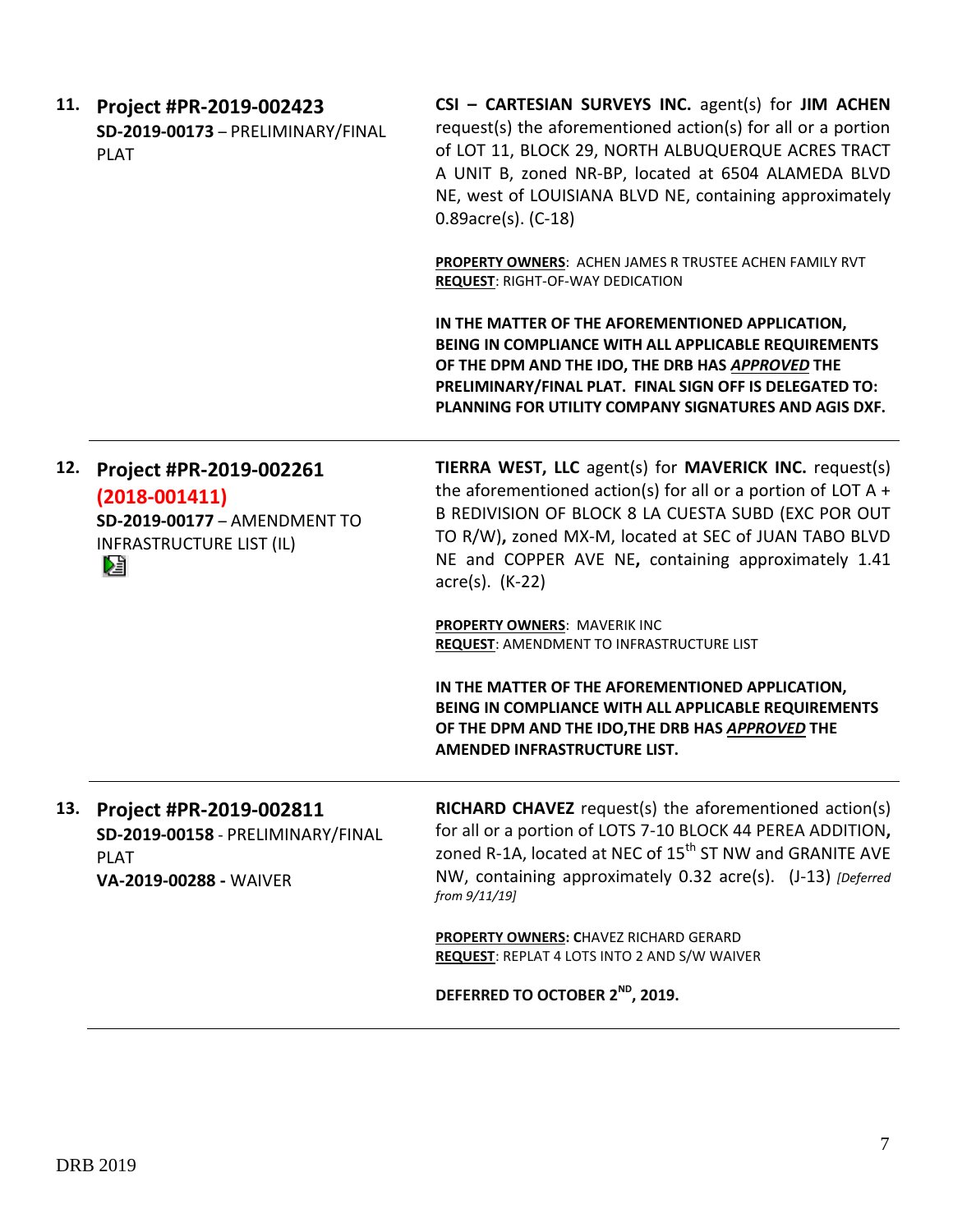| 11. | Project #PR-2019-002423<br>SD-2019-00173 - PRELIMINARY/FINAL<br><b>PLAT</b>                                          | CSI - CARTESIAN SURVEYS INC. agent(s) for JIM ACHEN<br>request(s) the aforementioned action(s) for all or a portion<br>of LOT 11, BLOCK 29, NORTH ALBUQUERQUE ACRES TRACT<br>A UNIT B, zoned NR-BP, located at 6504 ALAMEDA BLVD<br>NE, west of LOUISIANA BLVD NE, containing approximately<br>0.89acre(s). (C-18) |
|-----|----------------------------------------------------------------------------------------------------------------------|--------------------------------------------------------------------------------------------------------------------------------------------------------------------------------------------------------------------------------------------------------------------------------------------------------------------|
|     |                                                                                                                      | PROPERTY OWNERS: ACHEN JAMES R TRUSTEE ACHEN FAMILY RVT<br><b>REQUEST: RIGHT-OF-WAY DEDICATION</b>                                                                                                                                                                                                                 |
|     |                                                                                                                      | IN THE MATTER OF THE AFOREMENTIONED APPLICATION,<br>BEING IN COMPLIANCE WITH ALL APPLICABLE REQUIREMENTS<br>OF THE DPM AND THE IDO, THE DRB HAS APPROVED THE<br>PRELIMINARY/FINAL PLAT. FINAL SIGN OFF IS DELEGATED TO:<br>PLANNING FOR UTILITY COMPANY SIGNATURES AND AGIS DXF.                                   |
| 12. | Project #PR-2019-002261<br>$(2018 - 001411)$<br>SD-2019-00177 - AMENDMENT TO<br><b>INFRASTRUCTURE LIST (IL)</b><br>N | TIERRA WEST, LLC agent(s) for MAVERICK INC. request(s)<br>the aforementioned action(s) for all or a portion of LOT A $+$<br>B REDIVISION OF BLOCK 8 LA CUESTA SUBD (EXC POR OUT<br>TO R/W), zoned MX-M, located at SEC of JUAN TABO BLVD<br>NE and COPPER AVE NE, containing approximately 1.41<br>acre(s). (K-22) |
|     |                                                                                                                      | <b>PROPERTY OWNERS: MAVERIK INC</b><br><b>REQUEST: AMENDMENT TO INFRASTRUCTURE LIST</b>                                                                                                                                                                                                                            |
|     |                                                                                                                      | IN THE MATTER OF THE AFOREMENTIONED APPLICATION,<br>BEING IN COMPLIANCE WITH ALL APPLICABLE REQUIREMENTS<br>OF THE DPM AND THE IDO, THE DRB HAS APPROVED THE<br>AMENDED INFRASTRUCTURE LIST.                                                                                                                       |
| 13. | Project #PR-2019-002811<br>SD-2019-00158 - PRELIMINARY/FINAL<br><b>PLAT</b><br>VA-2019-00288 - WAIVER                | <b>RICHARD CHAVEZ</b> request(s) the aforementioned action(s)<br>for all or a portion of LOTS 7-10 BLOCK 44 PEREA ADDITION,<br>zoned R-1A, located at NEC of 15 <sup>th</sup> ST NW and GRANITE AVE<br>NW, containing approximately 0.32 acre(s). (J-13) [Deferred<br>from 9/11/19]                                |
|     |                                                                                                                      | <b>PROPERTY OWNERS: CHAVEZ RICHARD GERARD</b><br><b>REQUEST: REPLAT 4 LOTS INTO 2 AND S/W WAIVER</b>                                                                                                                                                                                                               |
|     |                                                                                                                      | DEFERRED TO OCTOBER 2 <sup>ND</sup> , 2019.                                                                                                                                                                                                                                                                        |